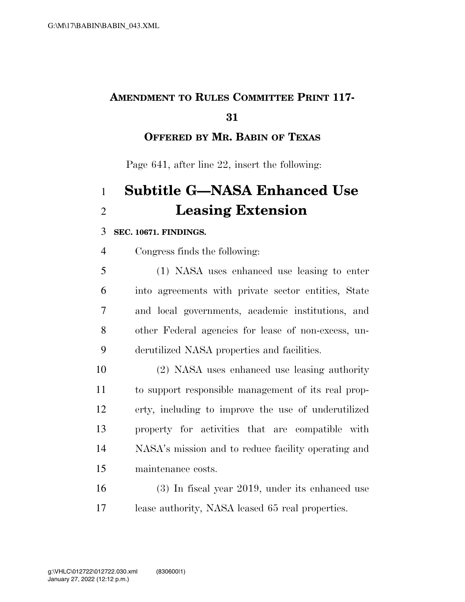## **AMENDMENT TO RULES COMMITTEE PRINT 117-**

### **OFFERED BY MR. BABIN OF TEXAS**

Page 641, after line 22, insert the following:

# **Subtitle G—NASA Enhanced Use Leasing Extension**

#### **SEC. 10671. FINDINGS.**

Congress finds the following:

 (1) NASA uses enhanced use leasing to enter into agreements with private sector entities, State and local governments, academic institutions, and other Federal agencies for lease of non-excess, un-derutilized NASA properties and facilities.

 (2) NASA uses enhanced use leasing authority to support responsible management of its real prop- erty, including to improve the use of underutilized property for activities that are compatible with NASA's mission and to reduce facility operating and maintenance costs.

 (3) In fiscal year 2019, under its enhanced use lease authority, NASA leased 65 real properties.